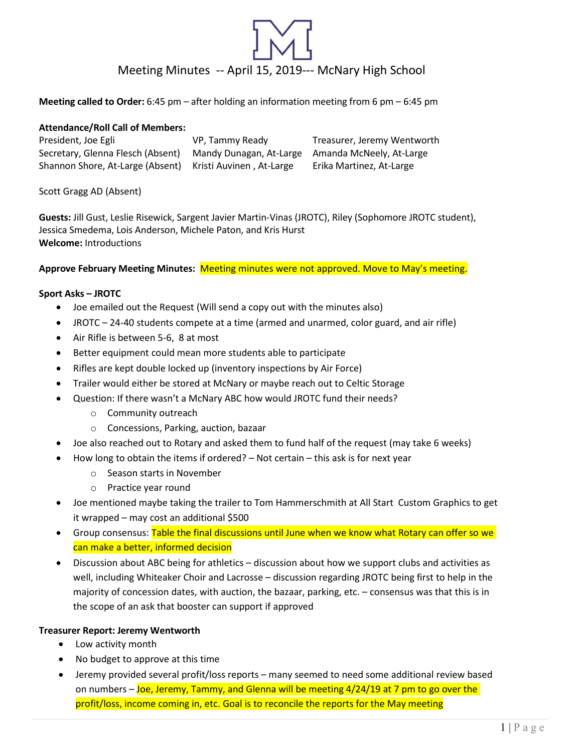# Meeting Minutes -- April 15, 2019--- McNary High School

**Meeting called to Order:** 6:45 pm – after holding an information meeting from 6 pm – 6:45 pm

# **Attendance/Roll Call of Members:**

President, Joe Egli **VP, Tammy Ready Freasurer, Jeremy Wentworth** Secretary, Glenna Flesch (Absent) Mandy Dunagan, At-Large Amanda McNeely, At-Large Shannon Shore, At-Large (Absent) Kristi Auvinen , At-Large Erika Martinez, At-Large

# Scott Gragg AD (Absent)

**Guests:** Jill Gust, Leslie Risewick, Sargent Javier Martin-Vinas (JROTC), Riley (Sophomore JROTC student), Jessica Smedema, Lois Anderson, Michele Paton, and Kris Hurst **Welcome:** Introductions

**Approve February Meeting Minutes:** Meeting minutes were not approved. Move to May's meeting.

# **Sport Asks – JROTC**

- Joe emailed out the Request (Will send a copy out with the minutes also)
- JROTC 24-40 students compete at a time (armed and unarmed, color guard, and air rifle)
- Air Rifle is between 5-6, 8 at most
- Better equipment could mean more students able to participate
- Rifles are kept double locked up (inventory inspections by Air Force)
- Trailer would either be stored at McNary or maybe reach out to Celtic Storage
- Question: If there wasn't a McNary ABC how would JROTC fund their needs?
	- o Community outreach
	- o Concessions, Parking, auction, bazaar
- Joe also reached out to Rotary and asked them to fund half of the request (may take 6 weeks)
- How long to obtain the items if ordered? Not certain this ask is for next year
	- o Season starts in November
	- o Practice year round
- Joe mentioned maybe taking the trailer to Tom Hammerschmith at All Start Custom Graphics to get it wrapped – may cost an additional \$500
- Group consensus: Table the final discussions until June when we know what Rotary can offer so we can make a better, informed decision
- Discussion about ABC being for athletics discussion about how we support clubs and activities as well, including Whiteaker Choir and Lacrosse – discussion regarding JROTC being first to help in the majority of concession dates, with auction, the bazaar, parking, etc. – consensus was that this is in the scope of an ask that booster can support if approved

### **Treasurer Report: Jeremy Wentworth**

- Low activity month
- No budget to approve at this time
- Jeremy provided several profit/loss reports many seemed to need some additional review based on numbers – Joe, Jeremy, Tammy, and Glenna will be meeting 4/24/19 at 7 pm to go over the profit/loss, income coming in, etc. Goal is to reconcile the reports for the May meeting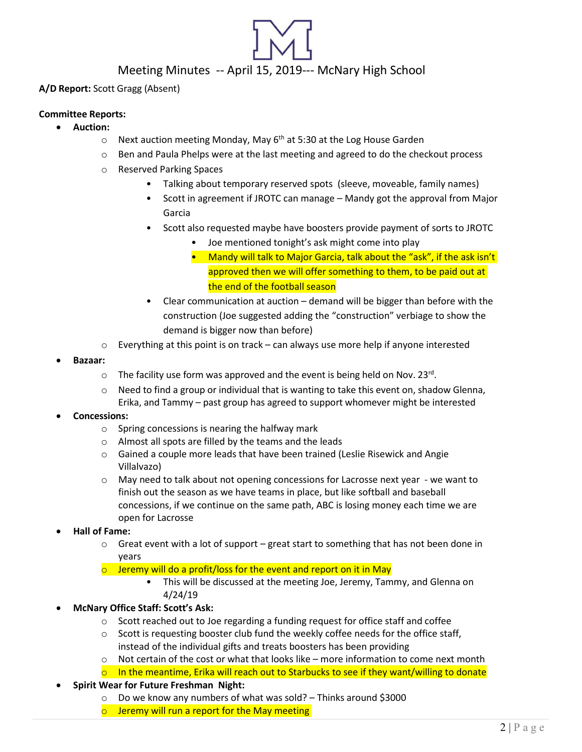# Meeting Minutes -- April 15, 2019--- McNary High School

# **A/D Report:** Scott Gragg (Absent)

### **Committee Reports:**

- **Auction:**
	- $\circ$  Next auction meeting Monday, May 6<sup>th</sup> at 5:30 at the Log House Garden
	- o Ben and Paula Phelps were at the last meeting and agreed to do the checkout process
	- o Reserved Parking Spaces
		- Talking about temporary reserved spots (sleeve, moveable, family names)
		- Scott in agreement if JROTC can manage Mandy got the approval from Major Garcia
		- Scott also requested maybe have boosters provide payment of sorts to JROTC
			- Joe mentioned tonight's ask might come into play
			- Mandy will talk to Major Garcia, talk about the "ask", if the ask isn't approved then we will offer something to them, to be paid out at the end of the football season
		- Clear communication at auction demand will be bigger than before with the construction (Joe suggested adding the "construction" verbiage to show the demand is bigger now than before)
	- $\circ$  Everything at this point is on track can always use more help if anyone interested
- **Bazaar:**
	- $\circ$  The facility use form was approved and the event is being held on Nov. 23<sup>rd</sup>.
	- o Need to find a group or individual that is wanting to take this event on, shadow Glenna, Erika, and Tammy – past group has agreed to support whomever might be interested

### • **Concessions:**

- $\circ$  Spring concessions is nearing the halfway mark
- o Almost all spots are filled by the teams and the leads
- o Gained a couple more leads that have been trained (Leslie Risewick and Angie Villalvazo)
- o May need to talk about not opening concessions for Lacrosse next year we want to finish out the season as we have teams in place, but like softball and baseball concessions, if we continue on the same path, ABC is losing money each time we are open for Lacrosse
- **Hall of Fame:**
	- $\circ$  Great event with a lot of support great start to something that has not been done in years
	- $\circ$  Jeremy will do a profit/loss for the event and report on it in May
		- This will be discussed at the meeting Joe, Jeremy, Tammy, and Glenna on 4/24/19
- **McNary Office Staff: Scott's Ask:**
	- o Scott reached out to Joe regarding a funding request for office staff and coffee
	- $\circ$  Scott is requesting booster club fund the weekly coffee needs for the office staff, instead of the individual gifts and treats boosters has been providing
	- $\circ$  Not certain of the cost or what that looks like more information to come next month
	- $\circ$  In the meantime, Erika will reach out to Starbucks to see if they want/willing to donate
- **Spirit Wear for Future Freshman Night:**
	- o Do we know any numbers of what was sold? Thinks around \$3000
	- o Jeremy will run a report for the May meeting